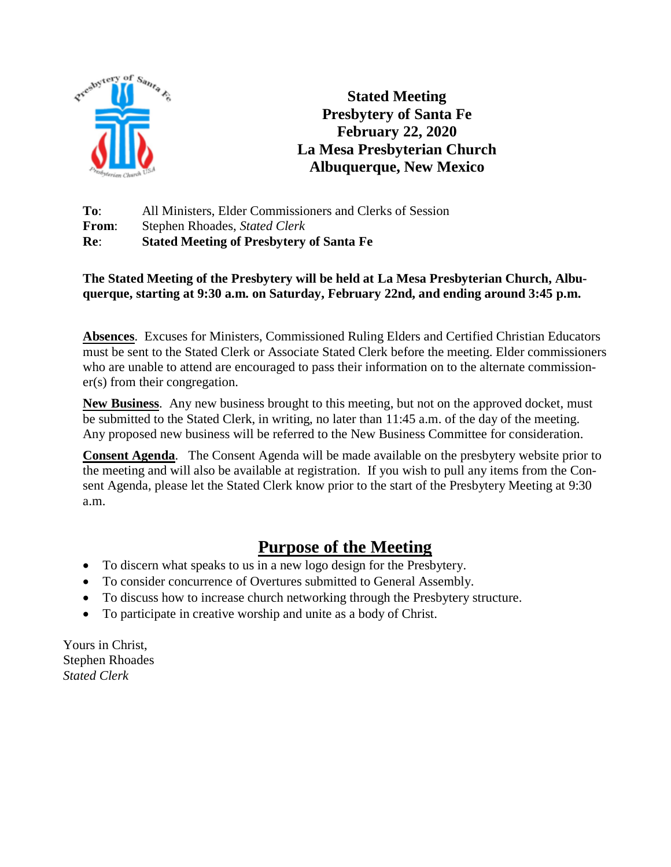

**Stated Meeting Presbytery of Santa Fe February 22, 2020 La Mesa Presbyterian Church Albuquerque, New Mexico**

**To**: All Ministers, Elder Commissioners and Clerks of Session **From**: Stephen Rhoades, *Stated Clerk* **Re**: **Stated Meeting of Presbytery of Santa Fe**

#### **The Stated Meeting of the Presbytery will be held at La Mesa Presbyterian Church, Albuquerque, starting at 9:30 a.m. on Saturday, February 22nd, and ending around 3:45 p.m.**

**Absences**. Excuses for Ministers, Commissioned Ruling Elders and Certified Christian Educators must be sent to the Stated Clerk or Associate Stated Clerk before the meeting. Elder commissioners who are unable to attend are encouraged to pass their information on to the alternate commissioner(s) from their congregation.

**New Business**. Any new business brought to this meeting, but not on the approved docket, must be submitted to the Stated Clerk, in writing, no later than 11:45 a.m. of the day of the meeting. Any proposed new business will be referred to the New Business Committee for consideration.

**Consent Agenda**. The Consent Agenda will be made available on the presbytery website prior to the meeting and will also be available at registration. If you wish to pull any items from the Consent Agenda, please let the Stated Clerk know prior to the start of the Presbytery Meeting at 9:30 a.m.

### **Purpose of the Meeting**

- To discern what speaks to us in a new logo design for the Presbytery.
- To consider concurrence of Overtures submitted to General Assembly.
- To discuss how to increase church networking through the Presbytery structure.
- To participate in creative worship and unite as a body of Christ.

Yours in Christ, Stephen Rhoades *Stated Clerk*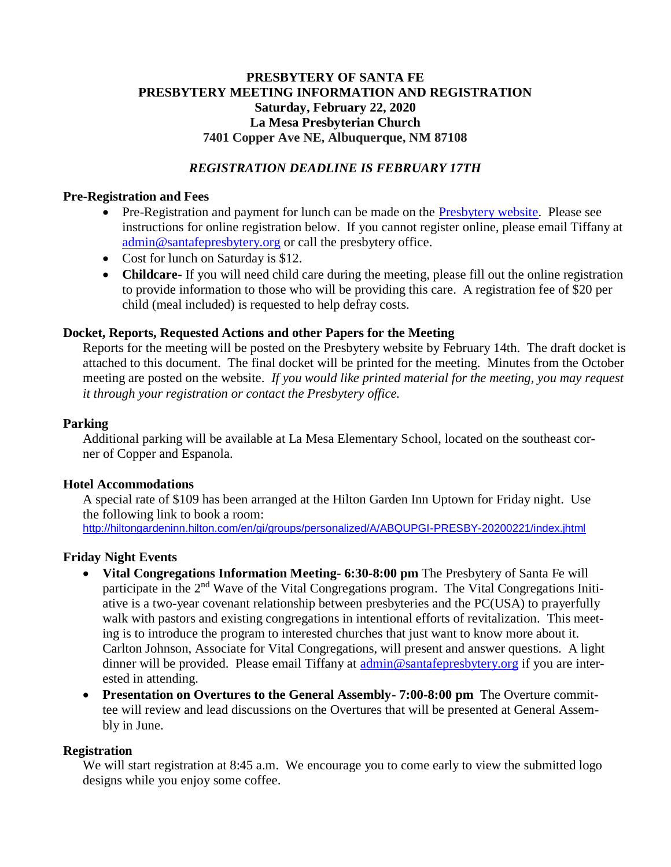#### **PRESBYTERY OF SANTA FE PRESBYTERY MEETING INFORMATION AND REGISTRATION Saturday, February 22, 2020 La Mesa Presbyterian Church 7401 Copper Ave NE, Albuquerque, NM 87108**

#### *REGISTRATION DEADLINE IS FEBRUARY 17TH*

#### **Pre-Registration and Fees**

- Pre-Registration and payment for lunch can be made on the [Presbytery website.](https://santafepresbytery.org/) Please see instructions for online registration below. If you cannot register online, please email Tiffany at [admin@santafepresbytery.org](mailto:admin@santafepresbytery.org) or call the presbytery office.
- Cost for lunch on Saturday is \$12.
- **Childcare-** If you will need child care during the meeting, please fill out the online registration to provide information to those who will be providing this care. A registration fee of \$20 per child (meal included) is requested to help defray costs.

#### **Docket, Reports, Requested Actions and other Papers for the Meeting**

Reports for the meeting will be posted on the Presbytery website by February 14th. The draft docket is attached to this document. The final docket will be printed for the meeting. Minutes from the October meeting are posted on the website. *If you would like printed material for the meeting, you may request it through your registration or contact the Presbytery office.*

#### **Parking**

Additional parking will be available at La Mesa Elementary School, located on the southeast corner of Copper and Espanola.

#### **Hotel Accommodations**

A special rate of \$109 has been arranged at the Hilton Garden Inn Uptown for Friday night. Use the following link to book a room:

[http://hiltongardeninn.hilton.com/en/gi/groups/personalized/A/ABQUPGI-PRESBY-20200221/index.jhtml](https://nam02.safelinks.protection.outlook.com/?url=http%3A%2F%2Fhiltongardeninn.hilton.com%2Fen%2Fgi%2Fgroups%2Fpersonalized%2FA%2FABQUPGI-PRESBY-20200221%2Findex.jhtml&data=02%7C01%7Cerin.debee%40hilton.com%7Caac4b3f9b7194a698fe308d79f3b0a4f%7C660292d2cfd54a3db7a7e8f7ee458a0a%7C0%7C0%7C637152948232912894&sdata=1baVsPTZpyrLLQwsSq4EifStq39L5cTxfMIjQC4REwg%3D&reserved=0)

#### **Friday Night Events**

- **Vital Congregations Information Meeting- 6:30-8:00 pm** The Presbytery of Santa Fe will participate in the 2<sup>nd</sup> Wave of the Vital Congregations program. The Vital Congregations Initiative is a two-year covenant relationship between presbyteries and the PC(USA) to prayerfully walk with pastors and existing congregations in intentional efforts of revitalization. This meeting is to introduce the program to interested churches that just want to know more about it. Carlton Johnson, Associate for Vital Congregations, will present and answer questions. A light dinner will be provided. Please email Tiffany at [admin@santafepresbytery.org](mailto:admin@santafepresbytery.org) if you are interested in attending.
- **Presentation on Overtures to the General Assembly- 7:00-8:00 pm** The Overture committee will review and lead discussions on the Overtures that will be presented at General Assembly in June.

#### **Registration**

We will start registration at 8:45 a.m. We encourage you to come early to view the submitted logo designs while you enjoy some coffee.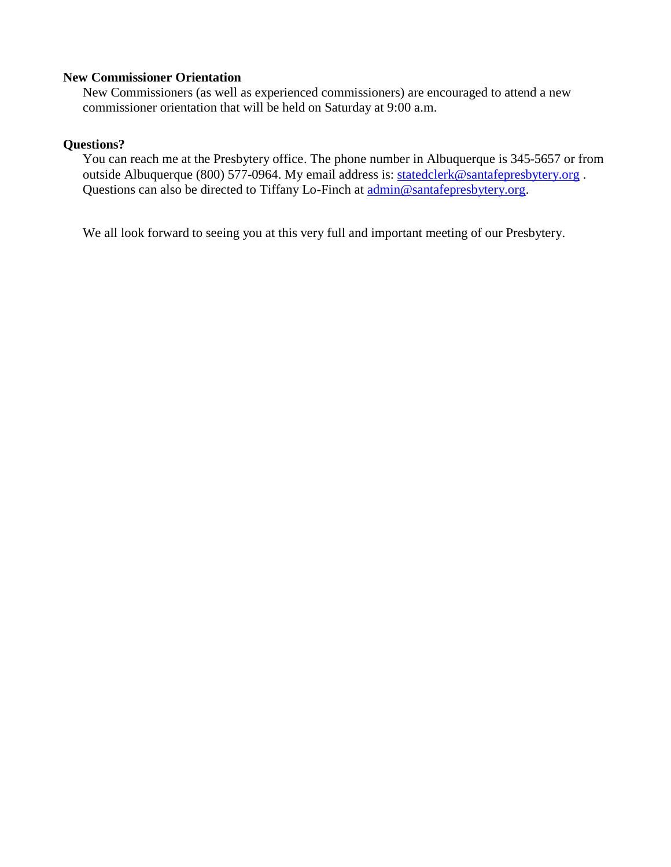#### **New Commissioner Orientation**

New Commissioners (as well as experienced commissioners) are encouraged to attend a new commissioner orientation that will be held on Saturday at 9:00 a.m.

#### **Questions?**

You can reach me at the Presbytery office. The phone number in Albuquerque is 345-5657 or from outside Albuquerque (800) 577-0964. My email address is: [statedclerk@santafepresbytery.org](mailto:statedclerk@santafepresbytery.org). Questions can also be directed to Tiffany Lo-Finch at [admin@santafepresbytery.org.](mailto:admin@santafepresbytery.org)

We all look forward to seeing you at this very full and important meeting of our Presbytery.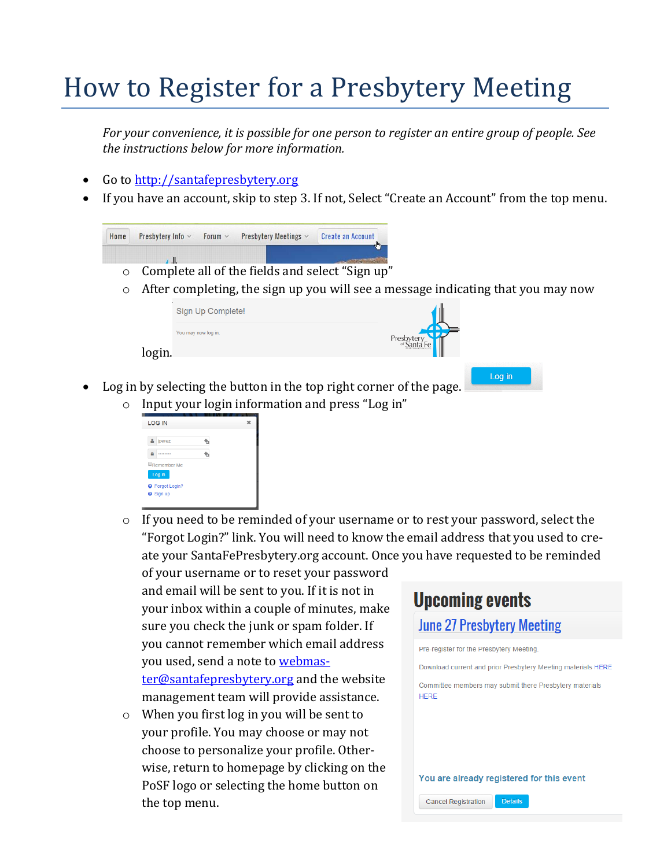# How to Register for a Presbytery Meeting

*For your convenience, it is possible for one person to register an entire group of people. See the instructions below for more information.*

- Go to [http://santafepresbytery.org](http://santafepresbytery.org/)
- If you have an account, skip to step 3. If not, Select "Create an Account" from the top menu.



- Log in by selecting the button in the top right corner of the page.
	- o Input your login information and press "Log in"



 $\circ$  If you need to be reminded of your username or to rest your password, select the "Forgot Login?" link. You will need to know the email address that you used to create your SantaFePresbytery.org account. Once you have requested to be reminded

of your username or to reset your password and email will be sent to you. If it is not in your inbox within a couple of minutes, make sure you check the junk or spam folder. If you cannot remember which email address you used, send a note to [webmas](mailto:webmaster@santafepresbytery.org)[ter@santafepresbytery.org](mailto:webmaster@santafepresbytery.org) and the website management team will provide assistance.

o When you first log in you will be sent to your profile. You may choose or may not choose to personalize your profile. Otherwise, return to homepage by clicking on the PoSF logo or selecting the home button on the top menu.

# **Upcoming events**

#### **June 27 Presbytery Meeting**

Pre-register for the Presbytery Meeting

Download current and prior Presbytery Meeting materials HERE

Committee members may submit there Presbytery materials **HFRF** 

#### You are already registered for this event

Details **Cancel Registration**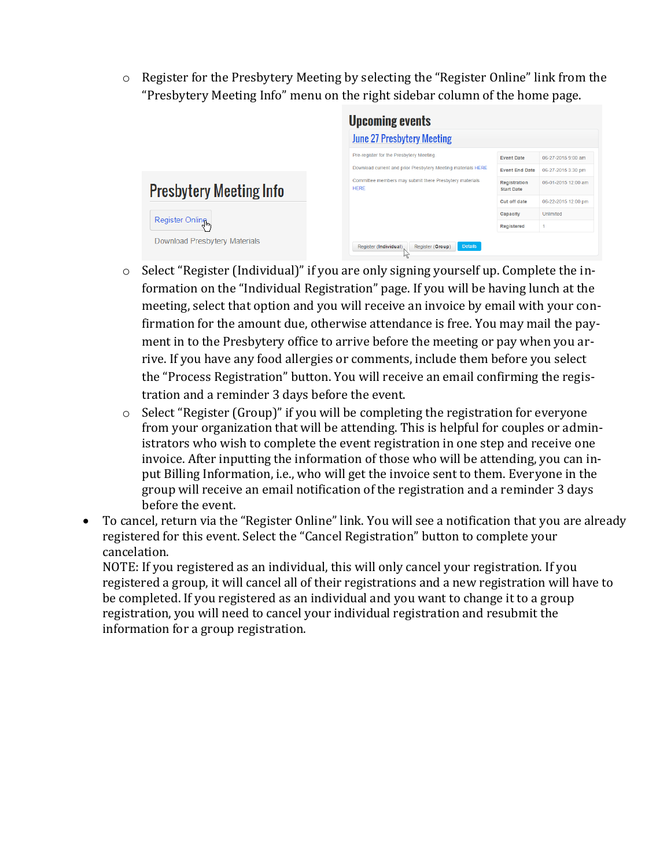o Register for the Presbytery Meeting by selecting the "Register Online" link from the "Presbytery Meeting Info" menu on the right sidebar column of the home page.

|                                | <b>Upcoming events</b>                                                 |                                          |                     |
|--------------------------------|------------------------------------------------------------------------|------------------------------------------|---------------------|
|                                | <b>June 27 Presbytery Meeting</b>                                      |                                          |                     |
|                                | Pre-register for the Presbytery Meeting.                               | <b>Event Date</b>                        | 06-27-2015 9:00 am  |
|                                | Download current and prior Presbytery Meeting materials HERE           | <b>Event End Date</b>                    | 06-27-2015 3:30 pm  |
| <b>Presbytery Meeting Info</b> | Committee members may submit there Presbytery materials<br><b>HERE</b> | <b>Registration</b><br><b>Start Date</b> | 06-01-2015 12:00 am |
|                                |                                                                        | <b>Cut off date</b>                      | 06-22-2015 12:00 pm |
|                                |                                                                        | Capacity                                 | Unlimited           |
| Register Onling                |                                                                        | Registered                               |                     |
| Download Presbytery Materials  | <b>Details</b><br>Register (Individual)<br>Register (Group)            |                                          |                     |

- o Select "Register (Individual)" if you are only signing yourself up. Complete the information on the "Individual Registration" page. If you will be having lunch at the meeting, select that option and you will receive an invoice by email with your confirmation for the amount due, otherwise attendance is free. You may mail the payment in to the Presbytery office to arrive before the meeting or pay when you arrive. If you have any food allergies or comments, include them before you select the "Process Registration" button. You will receive an email confirming the registration and a reminder 3 days before the event.
- o Select "Register (Group)" if you will be completing the registration for everyone from your organization that will be attending. This is helpful for couples or administrators who wish to complete the event registration in one step and receive one invoice. After inputting the information of those who will be attending, you can input Billing Information, i.e., who will get the invoice sent to them. Everyone in the group will receive an email notification of the registration and a reminder 3 days before the event.
- To cancel, return via the "Register Online" link. You will see a notification that you are already registered for this event. Select the "Cancel Registration" button to complete your cancelation.

NOTE: If you registered as an individual, this will only cancel your registration. If you registered a group, it will cancel all of their registrations and a new registration will have to be completed. If you registered as an individual and you want to change it to a group registration, you will need to cancel your individual registration and resubmit the information for a group registration.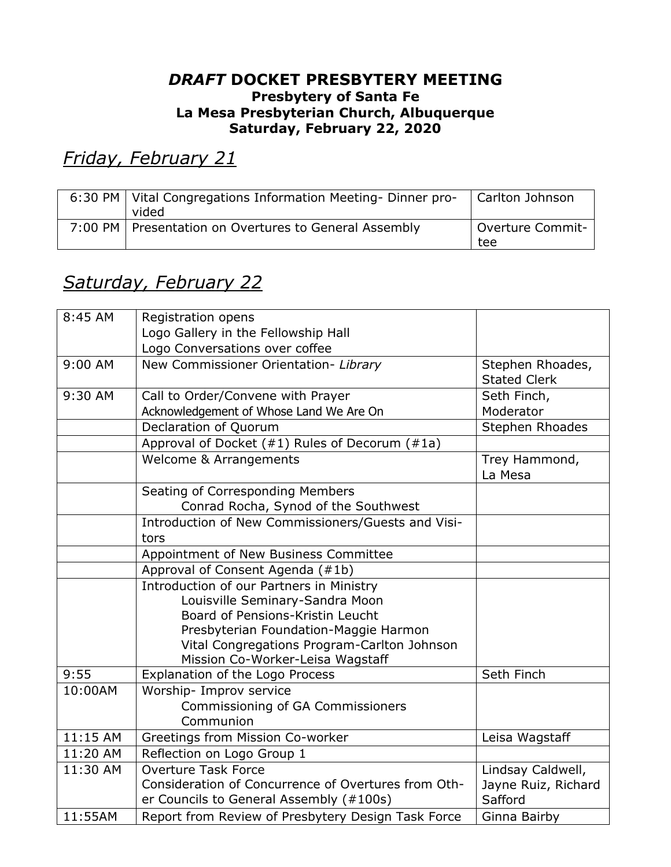#### *DRAFT* **DOCKET PRESBYTERY MEETING Presbytery of Santa Fe La Mesa Presbyterian Church, Albuquerque Saturday, February 22, 2020**

*Friday, February 21*

| 6:30 PM   Vital Congregations Information Meeting-Dinner pro- | Carlton Johnson  |
|---------------------------------------------------------------|------------------|
| vided                                                         |                  |
| 7:00 PM   Presentation on Overtures to General Assembly       | Overture Commit- |
|                                                               | tee              |

## *Saturday, February 22*

| 8:45 AM  | Registration opens                                  |                     |  |
|----------|-----------------------------------------------------|---------------------|--|
|          | Logo Gallery in the Fellowship Hall                 |                     |  |
|          | Logo Conversations over coffee                      |                     |  |
| 9:00 AM  | New Commissioner Orientation- Library               | Stephen Rhoades,    |  |
|          |                                                     | <b>Stated Clerk</b> |  |
| 9:30 AM  | Call to Order/Convene with Prayer                   | Seth Finch,         |  |
|          | Acknowledgement of Whose Land We Are On             | Moderator           |  |
|          | Declaration of Quorum                               | Stephen Rhoades     |  |
|          | Approval of Docket (#1) Rules of Decorum (#1a)      |                     |  |
|          | Welcome & Arrangements                              | Trey Hammond,       |  |
|          |                                                     | La Mesa             |  |
|          | Seating of Corresponding Members                    |                     |  |
|          | Conrad Rocha, Synod of the Southwest                |                     |  |
|          | Introduction of New Commissioners/Guests and Visi-  |                     |  |
|          | tors                                                |                     |  |
|          | Appointment of New Business Committee               |                     |  |
|          | Approval of Consent Agenda (#1b)                    |                     |  |
|          | Introduction of our Partners in Ministry            |                     |  |
|          | Louisville Seminary-Sandra Moon                     |                     |  |
|          | Board of Pensions-Kristin Leucht                    |                     |  |
|          | Presbyterian Foundation-Maggie Harmon               |                     |  |
|          | Vital Congregations Program-Carlton Johnson         |                     |  |
|          | Mission Co-Worker-Leisa Wagstaff                    |                     |  |
| 9:55     | Explanation of the Logo Process                     | Seth Finch          |  |
| 10:00AM  | Worship- Improv service                             |                     |  |
|          | Commissioning of GA Commissioners                   |                     |  |
|          | Communion                                           |                     |  |
| 11:15 AM | Greetings from Mission Co-worker                    | Leisa Wagstaff      |  |
| 11:20 AM | Reflection on Logo Group 1                          |                     |  |
| 11:30 AM | <b>Overture Task Force</b>                          | Lindsay Caldwell,   |  |
|          | Consideration of Concurrence of Overtures from Oth- | Jayne Ruiz, Richard |  |
|          | er Councils to General Assembly (#100s)             | Safford             |  |
| 11:55AM  | Report from Review of Presbytery Design Task Force  | Ginna Bairby        |  |